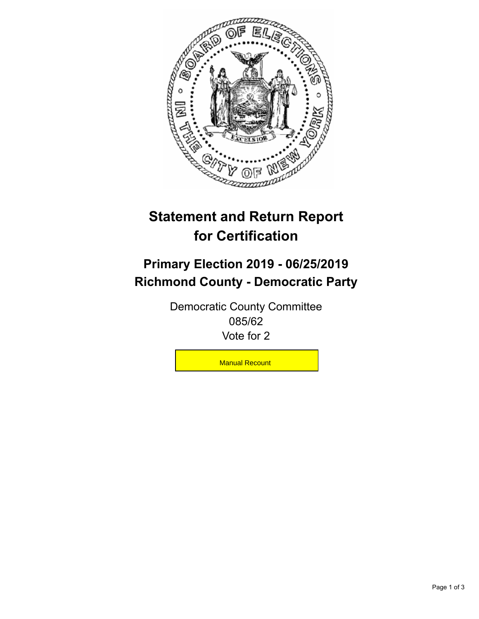

## **Statement and Return Report for Certification**

## **Primary Election 2019 - 06/25/2019 Richmond County - Democratic Party**

Democratic County Committee 085/62 Vote for 2

Manual Recount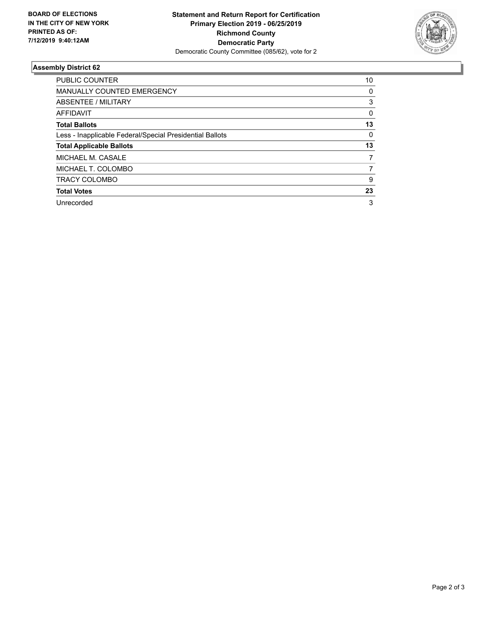

## **Assembly District 62**

| <b>PUBLIC COUNTER</b>                                    | 10 |
|----------------------------------------------------------|----|
| <b>MANUALLY COUNTED EMERGENCY</b>                        | 0  |
| ABSENTEE / MILITARY                                      | 3  |
| <b>AFFIDAVIT</b>                                         | 0  |
| <b>Total Ballots</b>                                     | 13 |
| Less - Inapplicable Federal/Special Presidential Ballots | 0  |
| <b>Total Applicable Ballots</b>                          | 13 |
| MICHAEL M. CASALE                                        | 7  |
| MICHAEL T. COLOMBO                                       | 7  |
| <b>TRACY COLOMBO</b>                                     | 9  |
| <b>Total Votes</b>                                       | 23 |
| Unrecorded                                               | 3  |